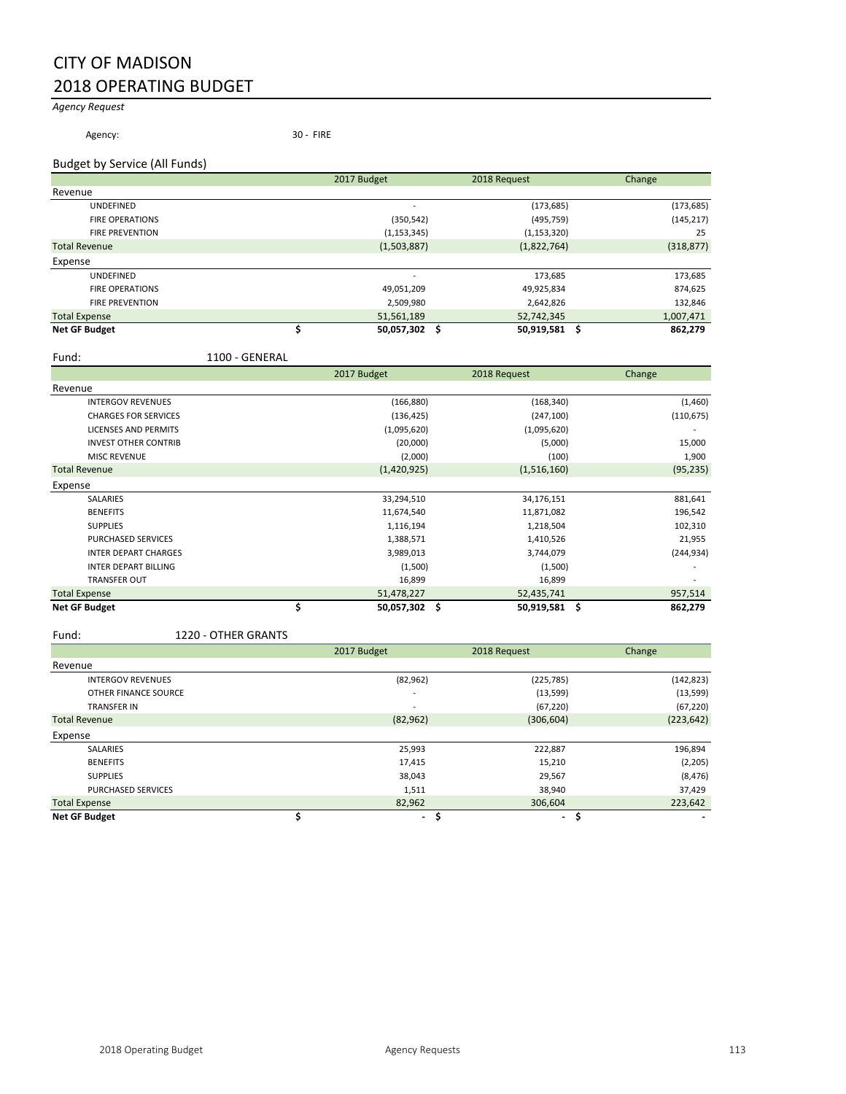# CITY OF MADISON 2018 OPERATING BUDGET

#### *Agency Request*

Agency: 30 - FIRE

#### Budget by Service (All Funds)

|                        | 2017 Budget   | 2018 Request  | Change     |
|------------------------|---------------|---------------|------------|
| Revenue                |               |               |            |
| <b>UNDEFINED</b>       |               | (173, 685)    | (173, 685) |
| <b>FIRE OPERATIONS</b> | (350, 542)    | (495, 759)    | (145, 217) |
| <b>FIRE PREVENTION</b> | (1, 153, 345) | (1, 153, 320) | 25         |
| <b>Total Revenue</b>   | (1,503,887)   | (1,822,764)   | (318, 877) |
| Expense                |               |               |            |
| <b>UNDEFINED</b>       |               | 173,685       | 173,685    |
| <b>FIRE OPERATIONS</b> | 49,051,209    | 49,925,834    | 874,625    |
| <b>FIRE PREVENTION</b> | 2,509,980     | 2,642,826     | 132,846    |
| <b>Total Expense</b>   | 51,561,189    | 52,742,345    | 1,007,471  |
| <b>Net GF Budget</b>   | 50,057,302    | 50,919,581    | 862,279    |

#### Fund: 1100 - GENERAL

|                             | 2017 Budget      | 2018 Request     | Change                   |
|-----------------------------|------------------|------------------|--------------------------|
| Revenue                     |                  |                  |                          |
| <b>INTERGOV REVENUES</b>    | (166, 880)       | (168, 340)       | (1,460)                  |
| <b>CHARGES FOR SERVICES</b> | (136, 425)       | (247, 100)       | (110, 675)               |
| <b>LICENSES AND PERMITS</b> | (1,095,620)      | (1,095,620)      | $\overline{\phantom{a}}$ |
| <b>INVEST OTHER CONTRIB</b> | (20,000)         | (5,000)          | 15,000                   |
| <b>MISC REVENUE</b>         | (2,000)          | (100)            | 1,900                    |
| <b>Total Revenue</b>        | (1,420,925)      | (1,516,160)      | (95, 235)                |
| Expense                     |                  |                  |                          |
| <b>SALARIES</b>             | 33,294,510       | 34,176,151       | 881,641                  |
| <b>BENEFITS</b>             | 11,674,540       | 11,871,082       | 196,542                  |
| <b>SUPPLIES</b>             | 1,116,194        | 1,218,504        | 102,310                  |
| <b>PURCHASED SERVICES</b>   | 1,388,571        | 1,410,526        | 21,955                   |
| <b>INTER DEPART CHARGES</b> | 3,989,013        | 3,744,079        | (244, 934)               |
| <b>INTER DEPART BILLING</b> | (1,500)          | (1,500)          |                          |
| <b>TRANSFER OUT</b>         | 16,899           | 16,899           |                          |
| <b>Total Expense</b>        | 51,478,227       | 52,435,741       | 957,514                  |
| <b>Net GF Budget</b>        | \$<br>50,057,302 | \$<br>50,919,581 | \$<br>862,279            |

#### Fund: 1220 - OTHER GRANTS

|                          | 2017 Budget              | 2018 Request             | Change     |
|--------------------------|--------------------------|--------------------------|------------|
| Revenue                  |                          |                          |            |
| <b>INTERGOV REVENUES</b> | (82, 962)                | (225, 785)               | (142, 823) |
| OTHER FINANCE SOURCE     | $\overline{\phantom{a}}$ | (13, 599)                | (13,599)   |
| <b>TRANSFER IN</b>       | $\overline{\phantom{a}}$ | (67, 220)                | (67, 220)  |
| <b>Total Revenue</b>     | (82, 962)                | (306, 604)               | (223, 642) |
| Expense                  |                          |                          |            |
| SALARIES                 | 25,993                   | 222,887                  | 196,894    |
| <b>BENEFITS</b>          | 17,415                   | 15,210                   | (2, 205)   |
| <b>SUPPLIES</b>          | 38,043                   | 29,567                   | (8, 476)   |
| PURCHASED SERVICES       | 1,511                    | 38,940                   | 37,429     |
| <b>Total Expense</b>     | 82,962                   | 306.604                  | 223,642    |
| <b>Net GF Budget</b>     | $\overline{\phantom{a}}$ | $\overline{\phantom{a}}$ |            |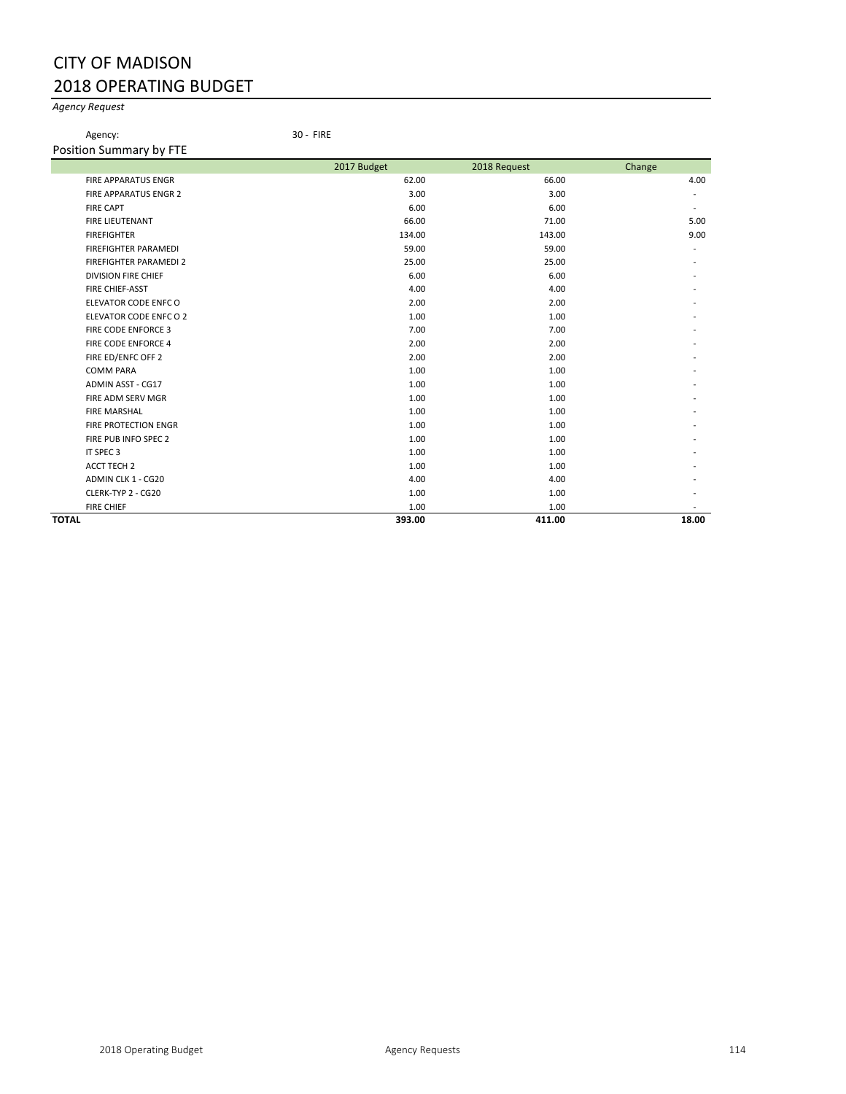# CITY OF MADISON 2018 OPERATING BUDGET

#### *Agency Request*

Position Summary by FTE

Agency: 30 - FIRE

| 2017 Budget | 2018 Request | Change                |
|-------------|--------------|-----------------------|
| 62.00       | 66.00        | 4.00                  |
| 3.00        | 3.00         |                       |
| 6.00        | 6.00         | $\tilde{\phantom{a}}$ |
| 66.00       | 71.00        | 5.00                  |
| 134.00      | 143.00       | 9.00                  |
| 59.00       | 59.00        |                       |
| 25.00       | 25.00        |                       |
| 6.00        | 6.00         |                       |
| 4.00        | 4.00         |                       |
| 2.00        | 2.00         |                       |
| 1.00        | 1.00         |                       |
| 7.00        | 7.00         |                       |
| 2.00        | 2.00         |                       |
| 2.00        | 2.00         |                       |
| 1.00        | 1.00         |                       |
| 1.00        | 1.00         |                       |
| 1.00        | 1.00         |                       |
| 1.00        | 1.00         |                       |
| 1.00        | 1.00         |                       |
| 1.00        | 1.00         |                       |
| 1.00        | 1.00         |                       |
| 1.00        | 1.00         |                       |
| 4.00        | 4.00         |                       |
| 1.00        | 1.00         |                       |
| 1.00        | 1.00         |                       |
| 393.00      | 411.00       | 18.00                 |
|             |              |                       |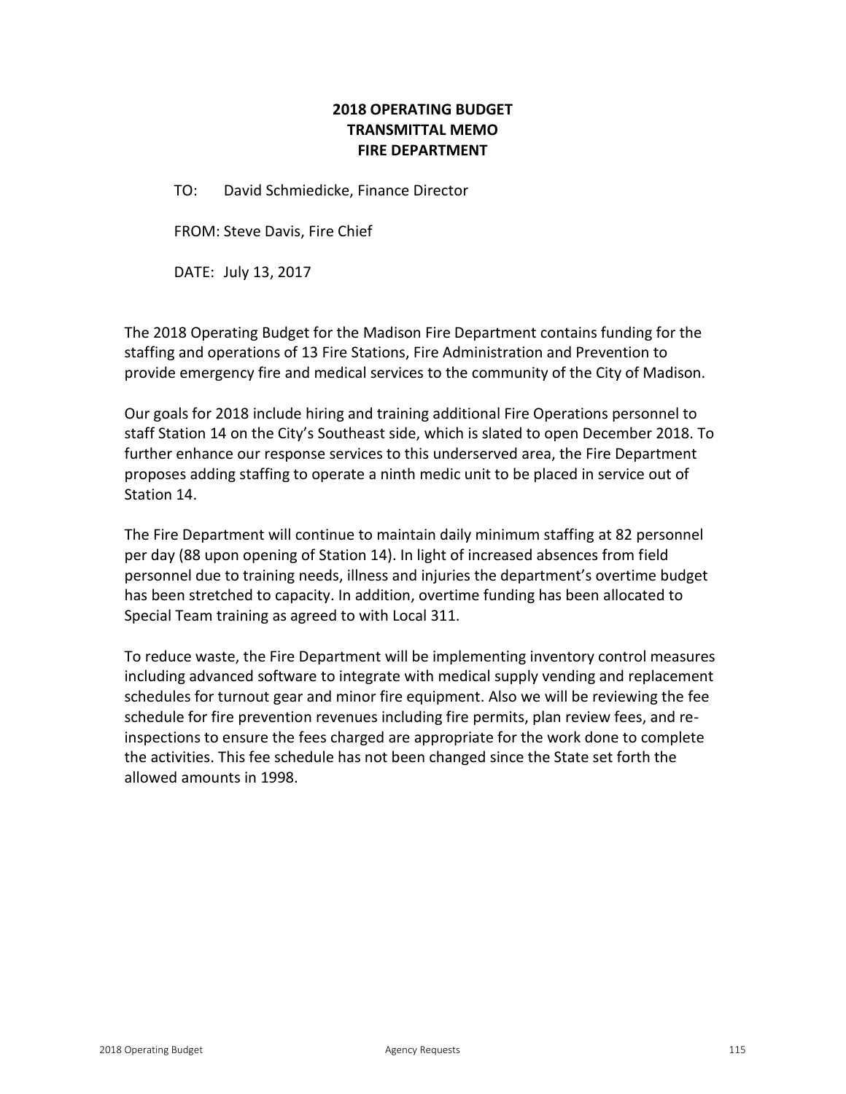## **2018 OPERATING BUDGET TRANSMITTAL MEMO FIRE DEPARTMENT**

TO: David Schmiedicke, Finance Director

FROM: Steve Davis, Fire Chief

DATE: July 13, 2017

The 2018 Operating Budget for the Madison Fire Department contains funding for the staffing and operations of 13 Fire Stations, Fire Administration and Prevention to provide emergency fire and medical services to the community of the City of Madison.

Our goals for 2018 include hiring and training additional Fire Operations personnel to staff Station 14 on the City's Southeast side, which is slated to open December 2018. To further enhance our response services to this underserved area, the Fire Department proposes adding staffing to operate a ninth medic unit to be placed in service out of Station 14.

The Fire Department will continue to maintain daily minimum staffing at 82 personnel per day (88 upon opening of Station 14). In light of increased absences from field personnel due to training needs, illness and injuries the department's overtime budget has been stretched to capacity. In addition, overtime funding has been allocated to Special Team training as agreed to with Local 311.

To reduce waste, the Fire Department will be implementing inventory control measures including advanced software to integrate with medical supply vending and replacement schedules for turnout gear and minor fire equipment. Also we will be reviewing the fee schedule for fire prevention revenues including fire permits, plan review fees, and reinspections to ensure the fees charged are appropriate for the work done to complete the activities. This fee schedule has not been changed since the State set forth the allowed amounts in 1998.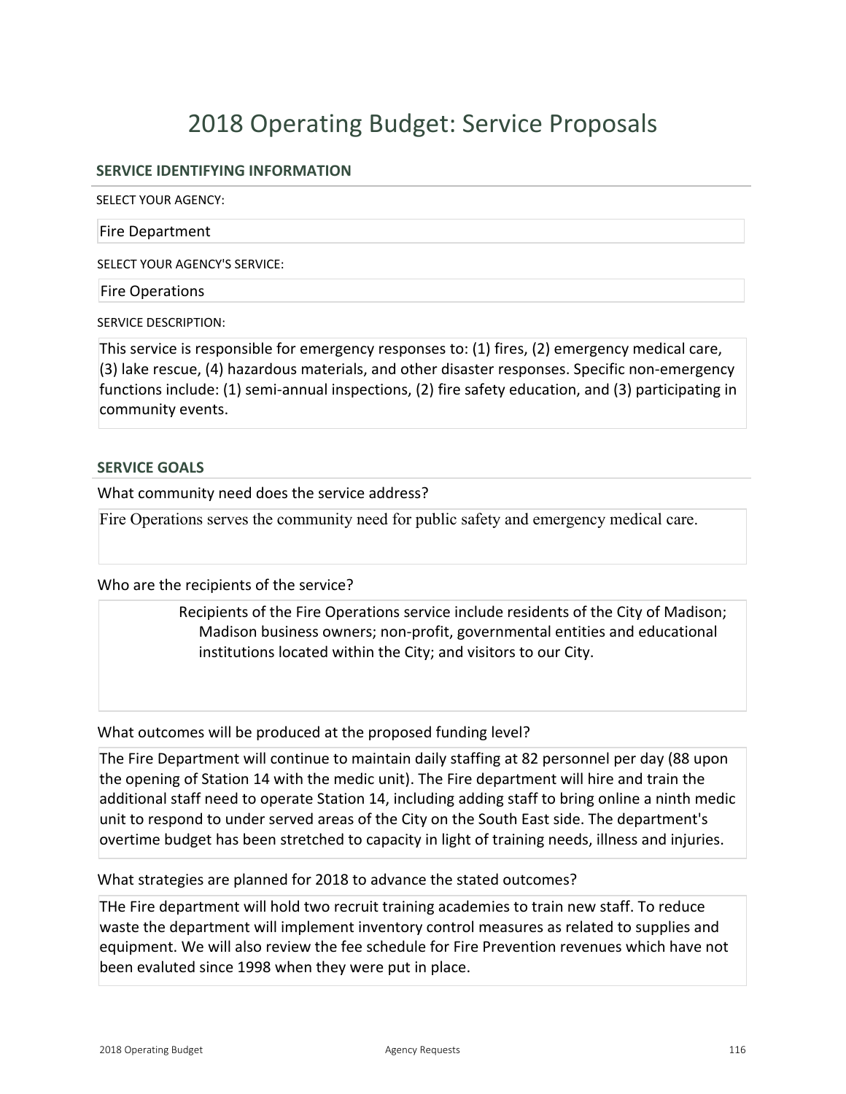# 2018 Operating Budget: Service Proposals

## **SERVICE IDENTIFYING INFORMATION**

SELECT YOUR AGENCY:

#### Fire Department

SELECT YOUR AGENCY'S SERVICE:

Fire Operations

SERVICE DESCRIPTION:

This service is responsible for emergency responses to: (1) fires, (2) emergency medical care, (3) lake rescue, (4) hazardous materials, and other disaster responses. Specific nonemergency functions include: (1) semi-annual inspections, (2) fire safety education, and (3) participating in community events.

### **SERVICE GOALS**

What community need does the service address?

Fire Operations serves the community need for public safety and emergency medical care.

### Who are the recipients of the service?

Recipients of the Fire Operations service include residents of the City of Madison; Madison business owners; non-profit, governmental entities and educational institutions located within the City; and visitors to our City.

What outcomes will be produced at the proposed funding level?

The Fire Department will continue to maintain daily staffing at 82 personnel per day (88 upon the opening of Station 14 with the medic unit). The Fire department will hire and train the additional staff need to operate Station 14, including adding staff to bring online a ninth medic unit to respond to under served areas of the City on the South East side. The department's overtime budget has been stretched to capacity in light of training needs, illness and injuries.

### What strategies are planned for 2018 to advance the stated outcomes?

THe Fire department will hold two recruit training academies to train new staff. To reduce waste the department will implement inventory control measures as related to supplies and equipment. We will also review the fee schedule for Fire Prevention revenues which have not been evaluted since 1998 when they were put in place.